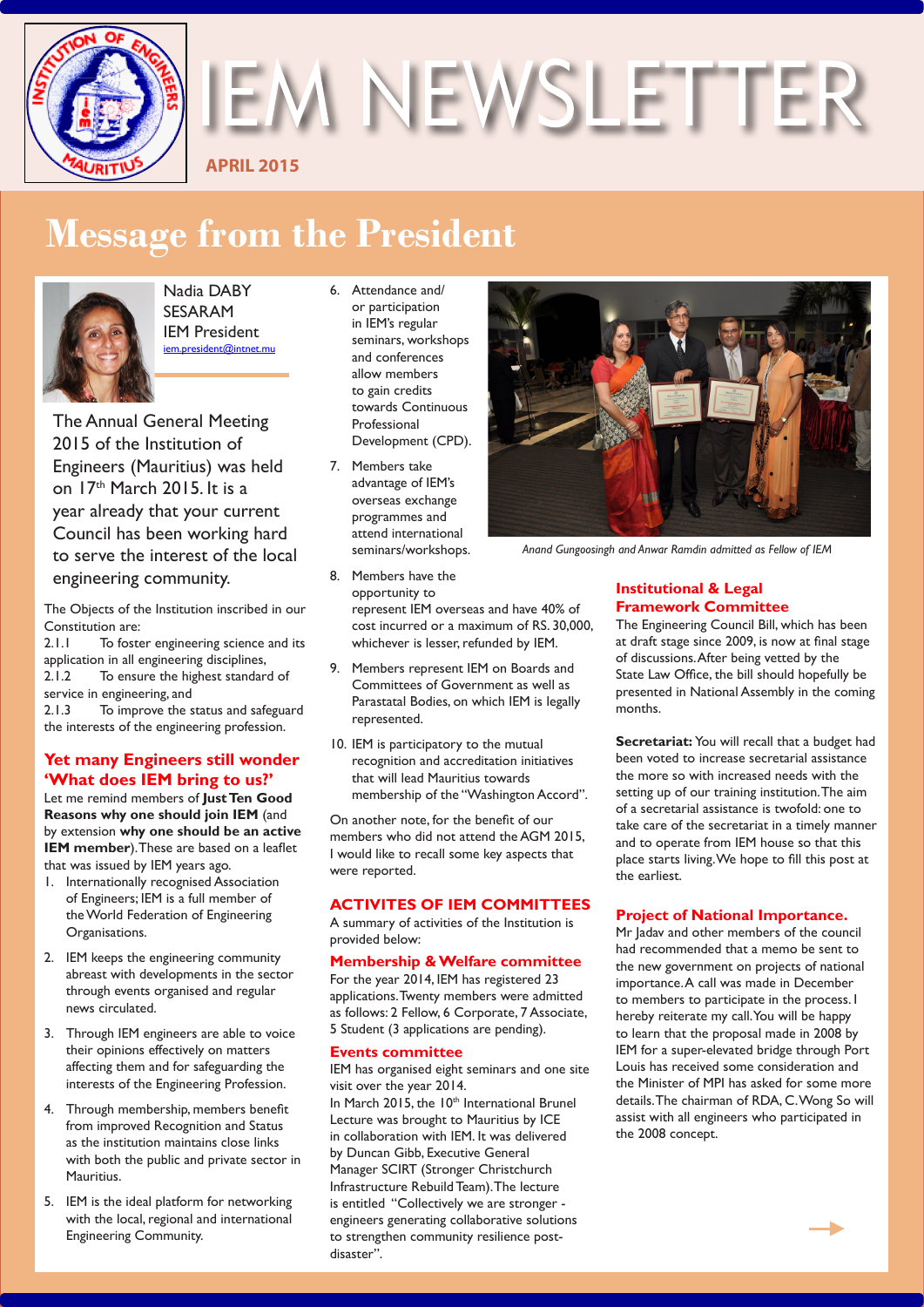

**IEM NEWSLETTER** 

**APRIL 2015**

# **Message from the President**



Nadia DABY SESARAM IEM President iem.president@intnet.mu

The Annual General Meeting 2015 of the Institution of Engineers (Mauritius) was held on 17th March 2015. It is a year already that your current Council has been working hard to serve the interest of the local engineering community.

The Objects of the Institution inscribed in our Constitution are:<br>2.1.1 To foste

To foster engineering science and its application in all engineering disciplines, 2.1.2 To ensure the highest standard of service in engineering, and

2.1.3 To improve the status and safeguard the interests of the engineering profession.

## **Yet many Engineers still wonder 'What does IEM bring to us?'**

Let me remind members of **Just Ten Good Reasons why one should join IEM** (and by extension **why one should be an active IEM member**). These are based on a leaflet that was issued by IEM years ago.

- 1. Internationally recognised Association of Engineers; IEM is a full member of the World Federation of Engineering Organisations.
- 2. IEM keeps the engineering community abreast with developments in the sector through events organised and regular news circulated.
- 3. Through IEM engineers are able to voice their opinions effectively on matters affecting them and for safeguarding the interests of the Engineering Profession.
- 4. Through membership, members benefit from improved Recognition and Status as the institution maintains close links with both the public and private sector in **Mauritius**
- 5. IEM is the ideal platform for networking with the local, regional and international Engineering Community.
- 6. Attendance and/ or participation in IEM's regular seminars, workshops and conferences allow members to gain credits towards Continuous Professional Development (CPD).
- 7. Members take advantage of IEM's overseas exchange programmes and attend international seminars/workshops.



- 9. Members represent IEM on Boards and Committees of Government as well as Parastatal Bodies, on which IEM is legally represented.
- 10. IEM is participatory to the mutual recognition and accreditation initiatives that will lead Mauritius towards membership of the "Washington Accord".

On another note, for the benefit of our members who did not attend the AGM 2015, I would like to recall some key aspects that were reported.

## **ACTIVITES OF IEM COMMITTEES**

A summary of activities of the Institution is provided below:

## **Membership & Welfare committee**

For the year 2014, IEM has registered 23 applications. Twenty members were admitted as follows: 2 Fellow, 6 Corporate, 7 Associate, 5 Student (3 applications are pending).

## **Events committee**

disaster".

IEM has organised eight seminars and one site visit over the year 2014. In March 2015, the 10<sup>th</sup> International Brunel Lecture was brought to Mauritius by ICE in collaboration with IEM. It was delivered by Duncan Gibb, Executive General Manager SCIRT (Stronger Christchurch Infrastructure Rebuild Team). The lecture is entitled "Collectively we are stronger engineers generating collaborative solutions to strengthen community resilience post-



*Anand Gungoosingh and Anwar Ramdin admitted as Fellow of IEM*

## **Institutional & Legal Framework Committee**

The Engineering Council Bill, which has been at draft stage since 2009, is now at final stage of discussions. After being vetted by the State Law Office, the bill should hopefully be presented in National Assembly in the coming months.

**Secretariat:** You will recall that a budget had been voted to increase secretarial assistance the more so with increased needs with the setting up of our training institution. The aim of a secretarial assistance is twofold: one to take care of the secretariat in a timely manner and to operate from IEM house so that this place starts living. We hope to fill this post at the earliest.

## **Project of National Importance.**

Mr Jadav and other members of the council had recommended that a memo be sent to the new government on projects of national importance. A call was made in December to members to participate in the process. I hereby reiterate my call. You will be happy to learn that the proposal made in 2008 by IEM for a super-elevated bridge through Port Louis has received some consideration and the Minister of MPI has asked for some more details. The chairman of RDA, C. Wong So will assist with all engineers who participated in the 2008 concept.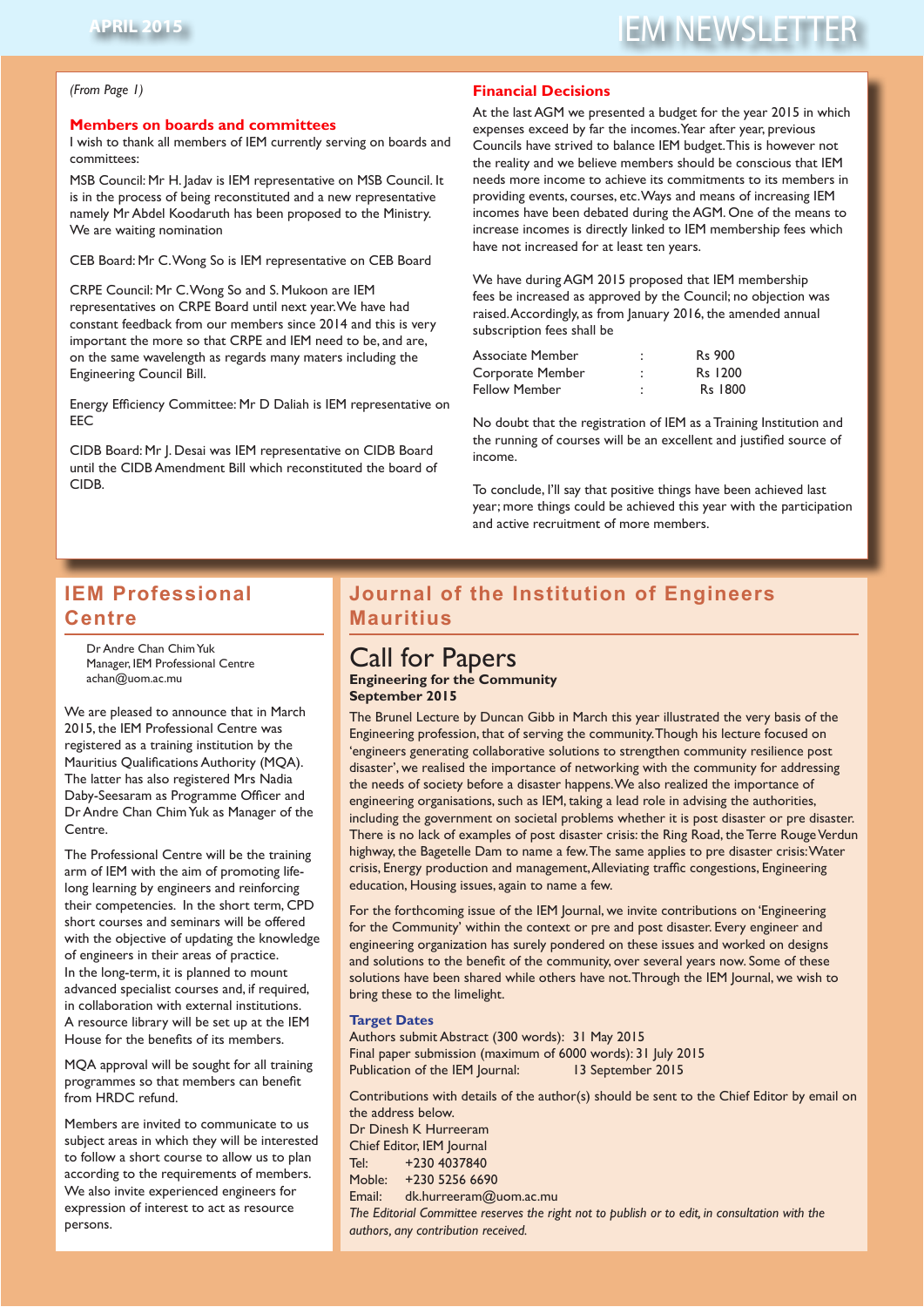# **APRIL 2015** IEM NEWSLETTER

#### *(From Page 1)*

#### **Members on boards and committees**

I wish to thank all members of IEM currently serving on boards and committees:

MSB Council: Mr H. Jadav is IEM representative on MSB Council. It is in the process of being reconstituted and a new representative namely Mr Abdel Koodaruth has been proposed to the Ministry. We are waiting nomination

CEB Board: Mr C. Wong So is IEM representative on CEB Board

CRPE Council: Mr C. Wong So and S. Mukoon are IEM representatives on CRPE Board until next year. We have had constant feedback from our members since 2014 and this is very important the more so that CRPE and IEM need to be, and are, on the same wavelength as regards many maters including the Engineering Council Bill.

Energy Efficiency Committee: Mr D Daliah is IEM representative on EEC

CIDB Board: Mr J. Desai was IEM representative on CIDB Board until the CIDB Amendment Bill which reconstituted the board of CIDB.

## **Financial Decisions**

At the last AGM we presented a budget for the year 2015 in which expenses exceed by far the incomes. Year after year, previous Councils have strived to balance IEM budget. This is however not the reality and we believe members should be conscious that IEM needs more income to achieve its commitments to its members in providing events, courses, etc. Ways and means of increasing IEM incomes have been debated during the AGM. One of the means to increase incomes is directly linked to IEM membership fees which have not increased for at least ten years.

We have during AGM 2015 proposed that IEM membership fees be increased as approved by the Council; no objection was raised. Accordingly, as from January 2016, the amended annual subscription fees shall be

| ٠ | <b>Rs</b> 900 |
|---|---------------|
| ٠ | Rs 1200       |
| ٠ | Rs 1800       |
|   |               |

No doubt that the registration of IEM as a Training Institution and the running of courses will be an excellent and justified source of income.

To conclude, I'll say that positive things have been achieved last year; more things could be achieved this year with the participation and active recruitment of more members.

# **IEM Professional Centre**

Dr Andre Chan Chim Yuk Manager, IEM Professional Centre achan@uom.ac.mu

We are pleased to announce that in March 2015, the IEM Professional Centre was registered as a training institution by the Mauritius Qualifications Authority (MQA). The latter has also registered Mrs Nadia Daby-Seesaram as Programme Officer and Dr Andre Chan Chim Yuk as Manager of the Centre.

The Professional Centre will be the training arm of IEM with the aim of promoting lifelong learning by engineers and reinforcing their competencies. In the short term, CPD short courses and seminars will be offered with the objective of updating the knowledge of engineers in their areas of practice. In the long-term, it is planned to mount advanced specialist courses and, if required, in collaboration with external institutions. A resource library will be set up at the IEM House for the benefits of its members.

MQA approval will be sought for all training programmes so that members can benefit from HRDC refund.

Members are invited to communicate to us subject areas in which they will be interested to follow a short course to allow us to plan according to the requirements of members. We also invite experienced engineers for expression of interest to act as resource persons.

# **Journal of the Institution of Engineers Journal of the Institution of Engineers Mauritius**

# Call for Papers

# Call for Papers **Engineering for the Community September 2015**

The Brunel Lecture by Duncan Gibb in March this year illustrated the very basis of the Engineering profession, that of serving the community. Though his lecture focused on 'engineers generating collaborative solutions to strengthen community resilience post disaster', we realised the importance of networking with the community for addressing the needs of society before a disaster happens. We also realized the importance of engineering organisations, such as IEM, taking a lead role in advising the authorities, including the government on societal problems whether it is post disaster or pre disaster. There is no lack of examples of post disaster crisis: the Ring Road, the Terre Rouge Verdun highway, the Bagetelle Dam to name a few. The same applies to pre disaster crisis: Water crisis, Energy production and management, Alleviating traffic congestions, Engineering education, Housing issues, again to name a few. The management of the management of the management, Allen

congestions, Engineering education, Housing issues, again to name a few. For the forthcoming issue of the IEM Journal, we invite contributions on 'Engineering For the forthcoming issue of the IEM Journal, we invite contributions on 'Engineering for the Community' within the context or pre and post disaster. Every engineer and for the Community' within the context or pre and post disaster. Every engineer and engineering organization has surely pondered on these issues and worked on designs engineering organization has surely pondered on these issues and worked on designs and solutions to the benefit of the community, over several years now. Some of these solutions have been shared while others have not. Through the IEM Journal, we wish to bring these to the limelight. bring these to the limelight.

## Target Dates **Target Dates**

Authors submit Abstract (300 words): 31 May 2015 Authors submit Abstract (300 words): 31 May 2015 Final paper submission (maximum of 6000 words): 31 July 2015 Final paper submission (maximum of 6000 words): 31 July 2015 Publication of the IEM Journal: 13 September 2015

Contributions with details of the author(s) should be sent to the Chief Editor by email Contributions with details of the author(s) should be sent to the Chief Editor by email on the address below. Dr Dinesh K Hurreeram

Chief Editor, IEM Journal Tel: +230 4037840 Moble: +230 5256 6690 Email: dk.hurreeram@uom.ac.mu

The Editorial Committee reserves the right not to publish or to edit, in consultation *The Editorial Committee reserves the right not to publish or to edit, in consultation with the authors, any contribution received.*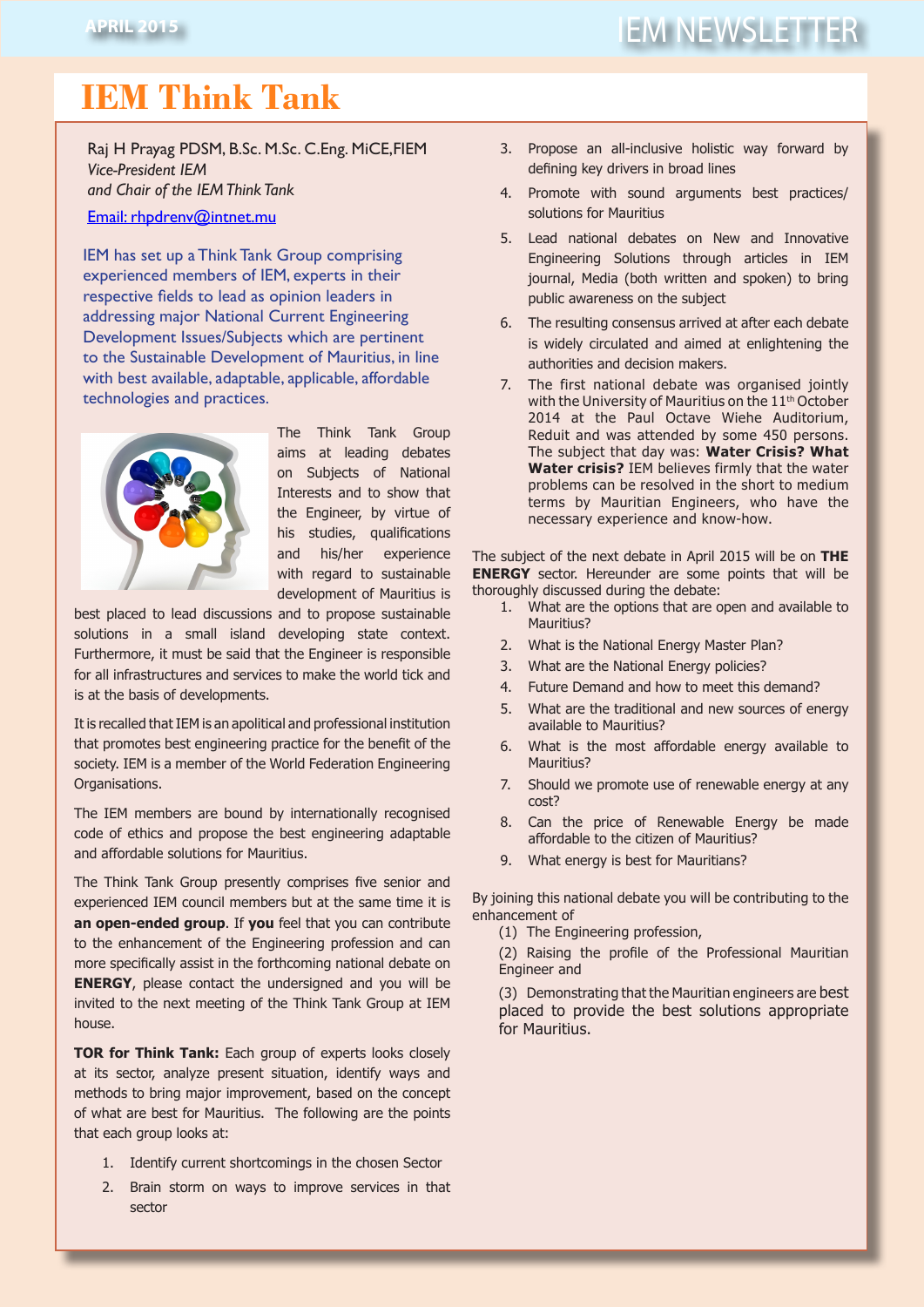# **IEM Think Tank**

Raj H Prayag PDSM, B.Sc. M.Sc. C.Eng. MiCE,FIEM *Vice-President IEM and Chair of the IEM Think Tank*

Email: rhpdrenv@intnet.mu

IEM has set up a Think Tank Group comprising experienced members of IEM, experts in their respective fields to lead as opinion leaders in addressing major National Current Engineering Development Issues/Subjects which are pertinent to the Sustainable Development of Mauritius, in line with best available, adaptable, applicable, affordable technologies and practices.



The Think Tank Group aims at leading debates on Subjects of National Interests and to show that the Engineer, by virtue of his studies, qualifications and his/her experience with regard to sustainable development of Mauritius is

best placed to lead discussions and to propose sustainable solutions in a small island developing state context. Furthermore, it must be said that the Engineer is responsible for all infrastructures and services to make the world tick and is at the basis of developments.

It is recalled that IEM is an apolitical and professional institution that promotes best engineering practice for the benefit of the society. IEM is a member of the World Federation Engineering Organisations.

The IEM members are bound by internationally recognised code of ethics and propose the best engineering adaptable and affordable solutions for Mauritius.

The Think Tank Group presently comprises five senior and experienced IEM council members but at the same time it is **an open-ended group**. If **you** feel that you can contribute to the enhancement of the Engineering profession and can more specifically assist in the forthcoming national debate on **ENERGY**, please contact the undersigned and you will be invited to the next meeting of the Think Tank Group at IEM house.

**TOR for Think Tank:** Each group of experts looks closely at its sector, analyze present situation, identify ways and methods to bring major improvement, based on the concept of what are best for Mauritius. The following are the points that each group looks at:

- 1. Identify current shortcomings in the chosen Sector
- 2. Brain storm on ways to improve services in that sector
- 3. Propose an all-inclusive holistic way forward by defining key drivers in broad lines
- 4. Promote with sound arguments best practices/ solutions for Mauritius
- 5. Lead national debates on New and Innovative Engineering Solutions through articles in IEM journal, Media (both written and spoken) to bring public awareness on the subject
- 6. The resulting consensus arrived at after each debate is widely circulated and aimed at enlightening the authorities and decision makers.
- 7. The first national debate was organised jointly with the University of Mauritius on the 11<sup>th</sup> October 2014 at the Paul Octave Wiehe Auditorium, Reduit and was attended by some 450 persons. The subject that day was: **Water Crisis? What Water crisis?** IEM believes firmly that the water problems can be resolved in the short to medium terms by Mauritian Engineers, who have the necessary experience and know-how.

The subject of the next debate in April 2015 will be on **THE ENERGY** sector. Hereunder are some points that will be thoroughly discussed during the debate:

- 1. What are the options that are open and available to Mauritius?
- 2. What is the National Energy Master Plan?
- 3. What are the National Energy policies?
- 4. Future Demand and how to meet this demand?
- 5. What are the traditional and new sources of energy available to Mauritius?
- 6. What is the most affordable energy available to Mauritius?
- 7. Should we promote use of renewable energy at any cost?
- 8. Can the price of Renewable Energy be made affordable to the citizen of Mauritius?
- 9. What energy is best for Mauritians?

By joining this national debate you will be contributing to the enhancement of

(1) The Engineering profession,

(2) Raising the profile of the Professional Mauritian Engineer and

(3) Demonstrating that the Mauritian engineers are best placed to provide the best solutions appropriate for Mauritius.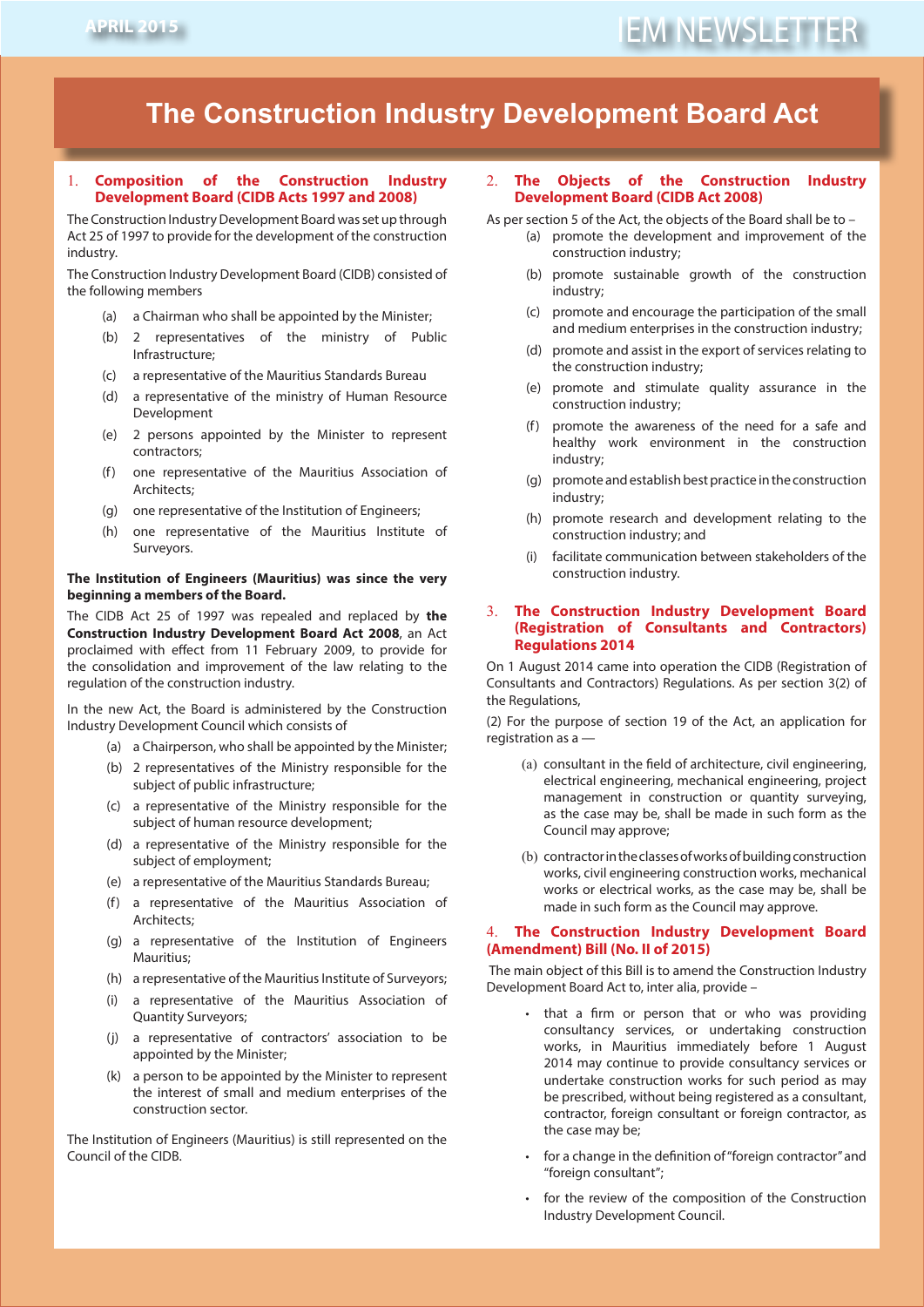# **The Construction Industry Development Board Act**

#### 1. **Composition of the Construction Industry Development Board (CIDB Acts 1997 and 2008)**

The Construction Industry Development Board was set up through Act 25 of 1997 to provide for the development of the construction industry.

The Construction Industry Development Board (CIDB) consisted of the following members

- (a) a Chairman who shall be appointed by the Minister;
- (b) 2 representatives of the ministry of Public Infrastructure;
- (c) a representative of the Mauritius Standards Bureau
- (d) a representative of the ministry of Human Resource Development
- (e) 2 persons appointed by the Minister to represent contractors;
- (f) one representative of the Mauritius Association of Architects;
- (g) one representative of the Institution of Engineers;
- (h) one representative of the Mauritius Institute of Surveyors.

#### **The Institution of Engineers (Mauritius) was since the very beginning a members of the Board.**

The CIDB Act 25 of 1997 was repealed and replaced by **the Construction Industry Development Board Act 2008**, an Act proclaimed with effect from 11 February 2009, to provide for the consolidation and improvement of the law relating to the regulation of the construction industry.

In the new Act, the Board is administered by the Construction Industry Development Council which consists of

- (a) a Chairperson, who shall be appointed by the Minister;
- (b) 2 representatives of the Ministry responsible for the subject of public infrastructure;
- (c) a representative of the Ministry responsible for the subject of human resource development;
- (d) a representative of the Ministry responsible for the subject of employment;
- (e) a representative of the Mauritius Standards Bureau;
- (f) a representative of the Mauritius Association of Architects;
- (g) a representative of the Institution of Engineers Mauritius;
- (h) a representative of the Mauritius Institute of Surveyors;
- (i) a representative of the Mauritius Association of Quantity Surveyors;
- (j) a representative of contractors' association to be appointed by the Minister;
- (k) a person to be appointed by the Minister to represent the interest of small and medium enterprises of the construction sector.

The Institution of Engineers (Mauritius) is still represented on the Council of the CIDB.

#### 2. **The Objects of the Construction Industry Development Board (CIDB Act 2008)**

As per section 5 of the Act, the objects of the Board shall be to –

- (a) promote the development and improvement of the construction industry;
- (b) promote sustainable growth of the construction industry;
- (c) promote and encourage the participation of the small and medium enterprises in the construction industry;
- (d) promote and assist in the export of services relating to the construction industry;
- (e) promote and stimulate quality assurance in the construction industry;
- (f) promote the awareness of the need for a safe and healthy work environment in the construction industry;
- (g) promote and establish best practice in the construction industry;
- (h) promote research and development relating to the construction industry; and
- (i) facilitate communication between stakeholders of the construction industry.

#### 3. **The Construction Industry Development Board (Registration of Consultants and Contractors) Regulations 2014**

On 1 August 2014 came into operation the CIDB (Registration of Consultants and Contractors) Regulations. As per section 3(2) of the Regulations,

(2) For the purpose of section 19 of the Act, an application for registration as a —

- (a) consultant in the field of architecture, civil engineering, electrical engineering, mechanical engineering, project management in construction or quantity surveying, as the case may be, shall be made in such form as the Council may approve;
- (b) contractor in the classes of works of building construction works, civil engineering construction works, mechanical works or electrical works, as the case may be, shall be made in such form as the Council may approve.

#### 4. **The Construction Industry Development Board (Amendment) Bill (No. II of 2015)**

 The main object of this Bill is to amend the Construction Industry Development Board Act to, inter alia, provide –

- that a firm or person that or who was providing consultancy services, or undertaking construction works, in Mauritius immediately before 1 August 2014 may continue to provide consultancy services or undertake construction works for such period as may be prescribed, without being registered as a consultant, contractor, foreign consultant or foreign contractor, as the case may be;
- for a change in the definition of "foreign contractor" and "foreign consultant";
- for the review of the composition of the Construction Industry Development Council.